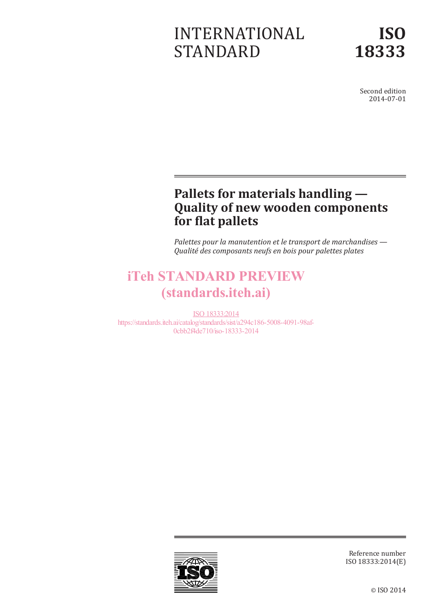# INTERNATIONAL STANDARD

Second edition 2014-07-01

# **Pallets for materials handling — Quality of new wooden components for flat pallets**

*Palettes pour la manutention et le transport de marchandises — Qualité des composants neufs en bois pour palettes plates*

# iTeh STANDARD PREVIEW (standards.iteh.ai)

ISO 18333:2014 https://standards.iteh.ai/catalog/standards/sist/a294c186-5008-4091-98af-0cbb2f4de710/iso-18333-2014



Reference number ISO 18333:2014(E)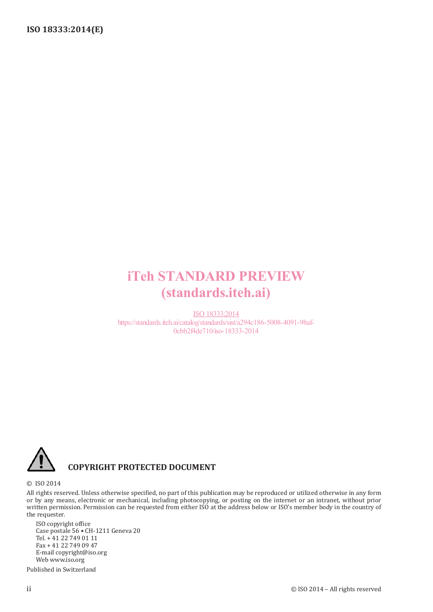# iTeh STANDARD PREVIEW (standards.iteh.ai)

ISO 18333:2014 https://standards.iteh.ai/catalog/standards/sist/a294c186-5008-4091-98af-0cbb2f4de710/iso-18333-2014



## **COPYRIGHT PROTECTED DOCUMENT**

© ISO 2014

All rights reserved. Unless otherwise specified, no part of this publication may be reproduced or utilized otherwise in any form or by any means, electronic or mechanical, including photocopying, or posting on the internet or an intranet, without prior written permission. Permission can be requested from either ISO at the address below or ISO's member body in the country of the requester.

ISO copyright office Case postale 56 • CH-1211 Geneva 20 Tel. + 41 22 749 01 11 Fax + 41 22 749 09 47 E-mail copyright@iso.org Web www.iso.org

Published in Switzerland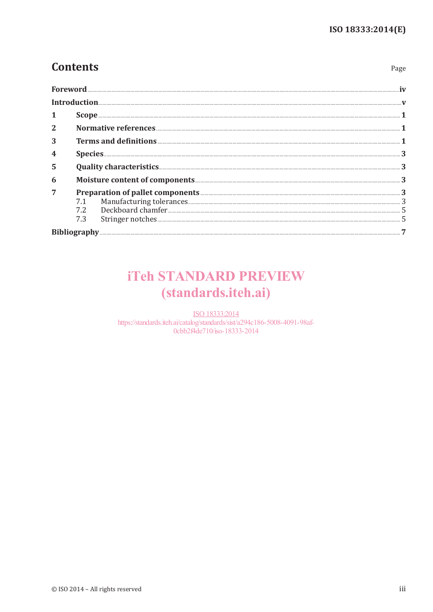Page

# **Contents**

| $\mathbf{2}$ |     |                                                                                           |  |
|--------------|-----|-------------------------------------------------------------------------------------------|--|
| 3            |     |                                                                                           |  |
|              |     |                                                                                           |  |
| 5            |     |                                                                                           |  |
| 6            |     |                                                                                           |  |
| 7            | 7.3 | Preparation of pallet components<br>7.1 Manufacturing tolerances<br>7.2 Deckboard chamfer |  |
|              |     |                                                                                           |  |

# **iTeh STANDARD PREVIEW** (standards.iteh.ai)

ISO 18333:2014 https://standards.iteh.ai/catalog/standards/sist/a294c186-5008-4091-98af-0cbb2f4de710/iso-18333-2014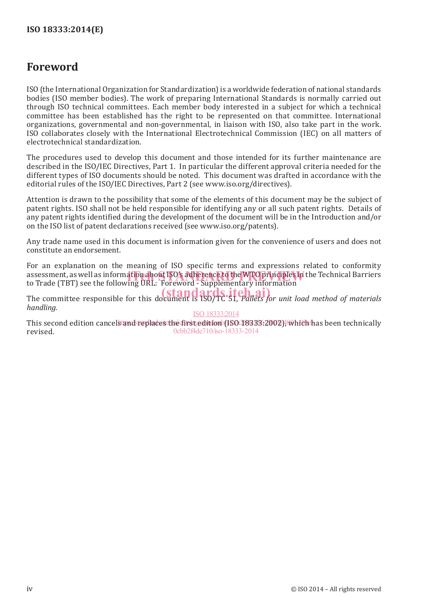# **Foreword**

ISO (the International Organization for Standardization) is a worldwide federation of national standards bodies (ISO member bodies). The work of preparing International Standards is normally carried out through ISO technical committees. Each member body interested in a subject for which a technical committee has been established has the right to be represented on that committee. International organizations, governmental and non-governmental, in liaison with ISO, also take part in the work. ISO collaborates closely with the International Electrotechnical Commission (IEC) on all matters of electrotechnical standardization.

The procedures used to develop this document and those intended for its further maintenance are described in the ISO/IEC Directives, Part 1. In particular the different approval criteria needed for the different types of ISO documents should be noted. This document was drafted in accordance with the editorial rules of the ISO/IEC Directives, Part 2 (see www.iso.org/directives).

Attention is drawn to the possibility that some of the elements of this document may be the subject of patent rights. ISO shall not be held responsible for identifying any or all such patent rights. Details of any patent rights identified during the development of the document will be in the Introduction and/or on the ISO list of patent declarations received (see www.iso.org/patents).

Any trade name used in this document is information given for the convenience of users and does not constitute an endorsement.

For an explanation on the meaning of ISO specific terms and expressions related to conformity assessment, as well as information about ISO's adherence to the WTO principles in the Technical Barriers<br>to Trade (TBT) see the following URL: Foreword - Supplementary information to Trade (TBT) see the following URL: Foreword - Supplementary information

The committee responsible for this document is ISO/TC 51, *Pallets for unit load method of materials*<br>The committee responsible for this document is ISO/TC 51, *Pallets for unit load method of materials handling*.

ISO 18333:2014

This second edition cancels and replaces the first edition (ISO 18333:2002), which has been technically revised. 0cbb2f4de710/iso-18333-2014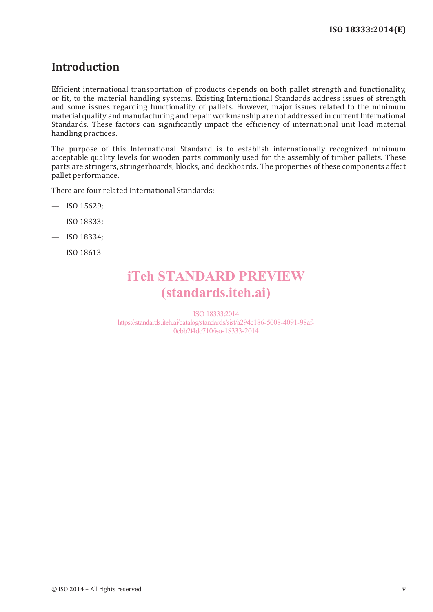# **Introduction**

Efficient international transportation of products depends on both pallet strength and functionality, or fit, to the material handling systems. Existing International Standards address issues of strength and some issues regarding functionality of pallets. However, major issues related to the minimum material quality and manufacturing and repair workmanship are not addressed in current International Standards. These factors can significantly impact the efficiency of international unit load material handling practices.

The purpose of this International Standard is to establish internationally recognized minimum acceptable quality levels for wooden parts commonly used for the assembly of timber pallets. These parts are stringers, stringerboards, blocks, and deckboards. The properties of these components affect pallet performance.

There are four related International Standards:

- $-$  ISO 15629:
- ISO 18333;
- ISO 18334;
- ISO 18613.

# iTeh STANDARD PREVIEW (standards.iteh.ai)

ISO 18333:2014 https://standards.iteh.ai/catalog/standards/sist/a294c186-5008-4091-98af-0cbb2f4de710/iso-18333-2014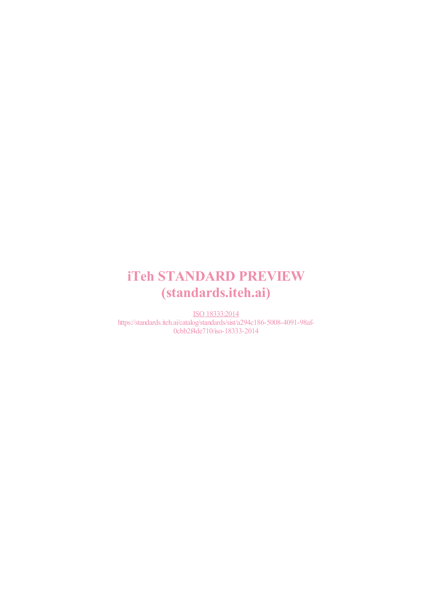# iTeh STANDARD PREVIEW (standards.iteh.ai)

ISO 18333:2014 https://standards.iteh.ai/catalog/standards/sist/a294c186-5008-4091-98af-0cbb2f4de710/iso-18333-2014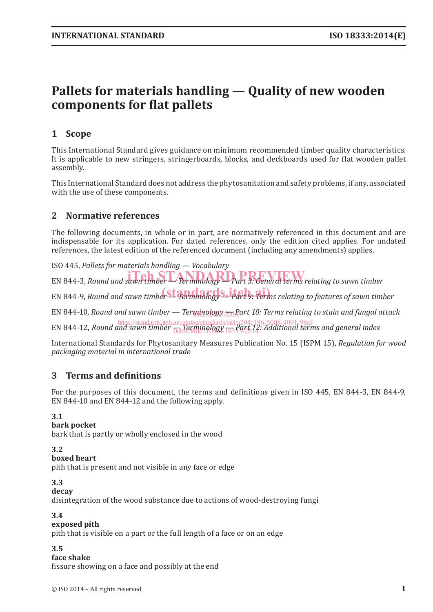# **Pallets for materials handling — Quality of new wooden components for flat pallets**

## **1 Scope**

This International Standard gives guidance on minimum recommended timber quality characteristics. It is applicable to new stringers, stringerboards, blocks, and deckboards used for flat wooden pallet assembly.

This International Standard does not address the phytosanitation and safety problems, if any, associated with the use of these components.

### **2 Normative references**

The following documents, in whole or in part, are normatively referenced in this document and are indispensable for its application. For dated references, only the edition cited applies. For undated references, the latest edition of the referenced document (including any amendments) applies.

ISO 445, *Pallets for materials handling — Vocabulary* EN 844-3, Round and sawn timber — Terminology — Part 3: General terms relating to sawn timber

EN 844-9, Round and sawn timber Standard 2009 S. 14 apply. Terms relating to features of sawn timber

EN 844-10, Round and sawn timber — Ter<u>minology <sub>201</sub>P</u>art 10: Terms relating to stain and fungal attack

**EN 844-12,** *Round and sawn timber*  $\frac{1}{0.0024446}$  *Reminology standards/sist/a294c186-5008-4091-98af-*<br>EN 844-12, *Round and sawn timber*  $\frac{1}{0.002446}$  *(10)*  $\frac{1}{0.0024}$  *R333-2014:* Additional terms and gene 0cbb2f4de710/B9-18333-2014

International Standards for Phytosanitary Measures Publication No. 15 (ISPM 15), *Regulation for wood packaging material in international trade*

### **3 Terms and definitions**

For the purposes of this document, the terms and definitions given in ISO 445, EN 844‑3, EN 844‑9, EN 844‑10 and EN 844‑12 and the following apply.

#### **3.1**

#### **bark pocket**

bark that is partly or wholly enclosed in the wood

#### **3.2**

#### **boxed heart**

pith that is present and not visible in any face or edge

#### **3.3**

**decay**

disintegration of the wood substance due to actions of wood-destroying fungi

#### **3.4**

#### **exposed pith**

pith that is visible on a part or the full length of a face or on an edge

**3.5**

**face shake**

fissure showing on a face and possibly at the end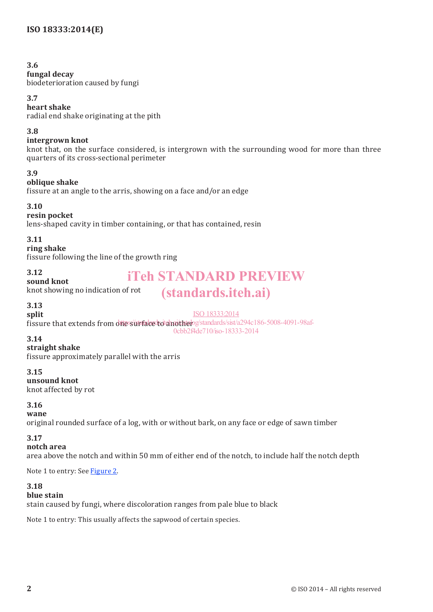#### **3.6**

#### **fungal decay**

biodeterioration caused by fungi

#### **3.7**

#### **heart shake**

radial end shake originating at the pith

#### **3.8**

#### **intergrown knot**

knot that, on the surface considered, is intergrown with the surrounding wood for more than three quarters of its cross-sectional perimeter

#### **3.9**

### **oblique shake**

fissure at an angle to the arris, showing on a face and/or an edge

### **3.10**

#### **resin pocket**

lens-shaped cavity in timber containing, or that has contained, resin

#### **3.11**

**ring shake**

**sound knot**

fissure following the line of the growth ring

knot showing no indication of rot

#### **3.12**

# iTeh STANDARD PREVIEW

# (standards.iteh.ai)

#### **3.13 split**

ISO 18333:2014

fissure that extends from difessurface to another gstandards/sist/a294c186-5008-4091-98af-0cbb2f4de710/iso-18333-2014

#### **3.14**

#### **straight shake**

fissure approximately parallel with the arris

#### **3.15**

**unsound knot** knot affected by rot

#### **3.16**

#### **wane**

original rounded surface of a log, with or without bark, on any face or edge of sawn timber

#### **3.17**

#### **notch area**

area above the notch and within 50 mm of either end of the notch, to include half the notch depth

Note 1 to entry: See Figure 2.

#### **3.18**

#### **blue stain**

stain caused by fungi, where discoloration ranges from pale blue to black

Note 1 to entry: This usually affects the sapwood of certain species.